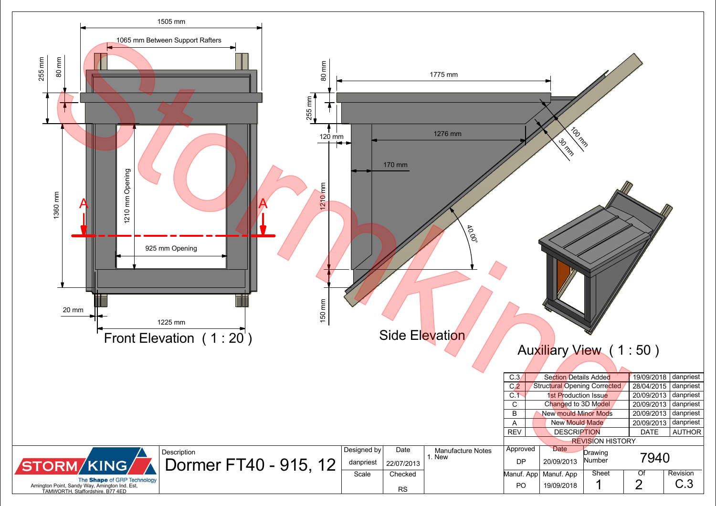